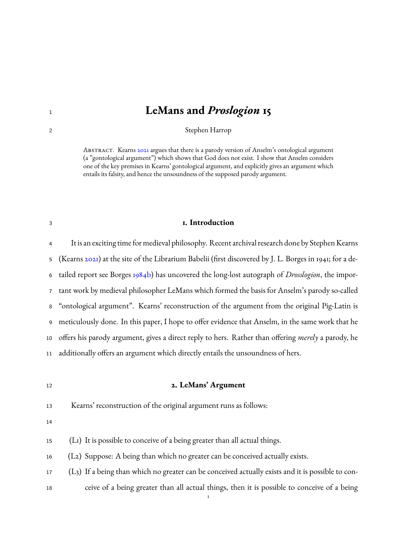# **LeMans and** *Proslogion* **15**

Stephen Harrop

ABSTRACT. Kearns [2021](#page-6-0) argues that there is a parody version of Anselm's ontological argument (a "gontological argument") which shows that God does not exist. I show that Anselm considers one of the key premises in Kearns' gontological argument, and explicitly gives an argument which entails its falsity, and hence the unsoundness of the supposed parody argument.

#### **1. Introduction**

 It is an exciting time for medieval philosophy. Recent archival research done by Stephen Kearns (Kearns [2021\)](#page-6-0) at the site of the Librarium Babelii (first discovered by J. L. Borges in 1941; for a de- tailed report see Borges [1984b\)](#page-6-1) has uncovered the long-lost autograph of *Drosslogion*, the impor- tant work by medieval philosopher LeMans which formed the basis for Anselm's parody so-called "ontological argument". Kearns' reconstruction of the argument from the original Pig-Latin is meticulously done. In this paper, I hope to offer evidence that Anselm, in the same work that he offers his parody argument, gives a direct reply to hers. Rather than offering *merely* a parody, he additionally offers an argument which directly entails the unsoundness of hers.

## **2. LeMans' Argument**

Kearns' reconstruction of the original argument runs as follows:

(L1) It is possible to conceive of a being greater than all actual things.

(L2) Suppose: A being than which no greater can be conceived actually exists.

 (L3) If a being than which no greater can be conceived actually exists and it is possible to con-ceive of a being greater than all actual things, then it is possible to conceive of a being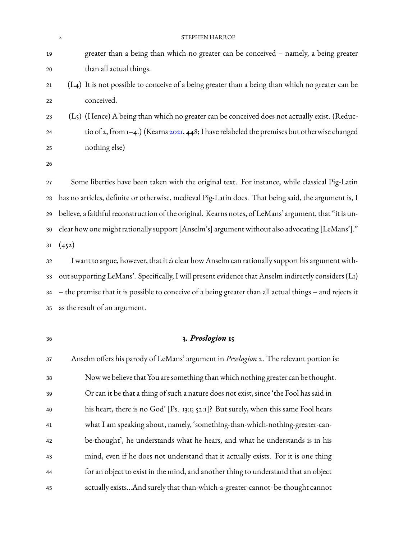|    | STEPHEN HARROP<br>$\mathbf{2}$                                                                           |
|----|----------------------------------------------------------------------------------------------------------|
| 19 | greater than a being than which no greater can be conceived - namely, a being greater                    |
| 20 | than all actual things.                                                                                  |
| 21 | (L4) It is not possible to conceive of a being greater than a being than which no greater can be         |
| 22 | conceived.                                                                                               |
| 23 | (L5) (Hence) A being than which no greater can be conceived does not actually exist. (Reduc-             |
| 24 | tio of 2, from 1-4.) (Kearns 2021, 448; I have relabeled the premises but otherwise changed              |
| 25 | nothing else)                                                                                            |
| 26 |                                                                                                          |
| 27 | Some liberties have been taken with the original text. For instance, while classical Pig-Latin           |
| 28 | has no articles, definite or otherwise, medieval Pig-Latin does. That being said, the argument is, I     |
| 29 | believe, a faithful reconstruction of the original. Kearns notes, of LeMans' argument, that "it is un-   |
| 30 | clear how one might rationally support [Anselm's] argument without also advocating [LeMans']."           |
| 31 | (452)                                                                                                    |
| 32 | I want to argue, however, that it is clear how Anselm can rationally support his argument with-          |
| 33 | out supporting LeMans'. Specifically, I will present evidence that Anselm indirectly considers (L1)      |
| 34 | - the premise that it is possible to conceive of a being greater than all actual things - and rejects it |
| 35 | as the result of an argument.                                                                            |
|    |                                                                                                          |
| 36 | 3. Proslogion 15                                                                                         |
| 37 | Anselm offers his parody of LeMans' argument in <i>Proslogion</i> 2. The relevant portion is:            |
| 38 | Now we believe that You are something than which nothing greater can be thought.                         |

 Or can it be that a thing of such a nature does not exist, since 'the Fool has said in his heart, there is no God' [Ps. 13:1; 52:1]? But surely, when this same Fool hears what I am speaking about, namely, 'something-than-which-nothing-greater-can- be-thought', he understands what he hears, and what he understands is in his mind, even if he does not understand that it actually exists. For it is one thing for an object to exist in the mind, and another thing to understand that an object actually exists…And surely that-than-which-a-greater-cannot- be-thought cannot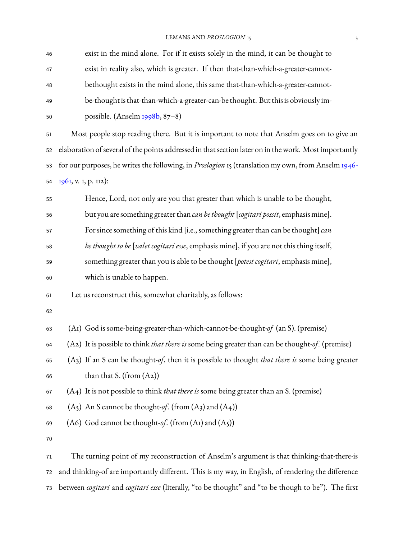LEMANS AND *PROSLOGION* 15

| 46 | exist in the mind alone. For if it exists solely in the mind, it can be thought to                        |
|----|-----------------------------------------------------------------------------------------------------------|
| 47 | exist in reality also, which is greater. If then that-than-which-a-greater-cannot-                        |
| 48 | bethought exists in the mind alone, this same that-than-which-a-greater-cannot-                           |
| 49 | be-thought is that-than-which-a-greater-can-be thought. But this is obviously im-                         |
| 50 | possible. (Anselm 1998b, 87-8)                                                                            |
| 51 | Most people stop reading there. But it is important to note that Anselm goes on to give an                |
| 52 | elaboration of several of the points addressed in that section later on in the work. Most importantly     |
| 53 | for our purposes, he writes the following, in <i>Proslogion</i> 15 (translation my own, from Anselm 1946- |
| 54 | 1961, v. I, p. 112):                                                                                      |
| 55 | Hence, Lord, not only are you that greater than which is unable to be thought,                            |
| 56 | but you are something greater than can be thought [cogitari possit, emphasis mine].                       |
| 57 | For since something of this kind [i.e., something greater than can be thought] can                        |
| 58 | be thought to be [valet cogitari esse, emphasis mine], if you are not this thing itself,                  |
| 59 | something greater than you is able to be thought [potest cogitari, emphasis mine],                        |
| 60 | which is unable to happen.                                                                                |
| 61 | Let us reconstruct this, somewhat charitably, as follows:                                                 |
| 62 |                                                                                                           |
| 63 | (A1) God is some-being-greater-than-which-cannot-be-thought-of (an S). (premise)                          |
| 64 | (A2) It is possible to think <i>that there is</i> some being greater than can be thought-of. (premise)    |
| 65 | $(A3)$ If an S can be thought-of, then it is possible to thought <i>that there is</i> some being greater  |
| 66 | than that S. (from $(A2)$ )                                                                               |
| 67 | (A4) It is not possible to think <i>that there is</i> some being greater than an S. (premise)             |
| 68 | $(A5)$ An S cannot be thought-of. (from $(A3)$ and $(A4)$ )                                               |
| 69 | (A6) God cannot be thought-of. (from $(A1)$ and $(A5)$ )                                                  |
| 70 |                                                                                                           |
| 71 | The turning point of my reconstruction of Anselm's argument is that thinking-that-there-is                |
|    |                                                                                                           |

 and thinking-of are importantly different. This is my way, in English, of rendering the difference between *cogitari* and *cogitari esse* (literally, "to be thought" and "to be though to be"). The first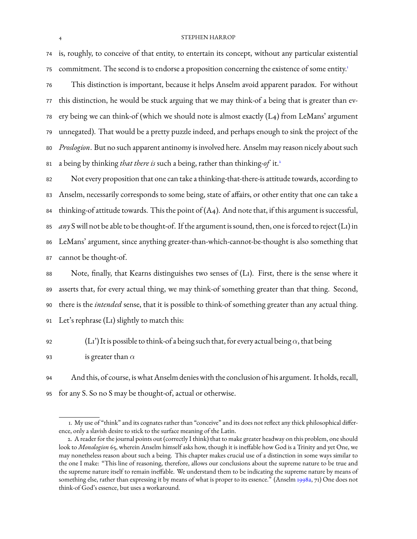#### 4 STEPHEN HARROP

<sup>74</sup> is, roughly, to conceive of that entity, to entertain its concept, without any particular existential commitment. The second is to endorse a proposition concerning the existence of some entity.<sup>[1](#page-3-0)</sup> 75

 This distinction is important, because it helps Anselm avoid apparent paradox. For without this distinction, he would be stuck arguing that we may think-of a being that is greater than ev- ery being we can think-of (which we should note is almost exactly (L4) from LeMans' argument unnegated). That would be a pretty puzzle indeed, and perhaps enough to sink the project of the *Proslogion*. But no such apparent antinomy is involved here. Anselm may reason nicely about such a being by thinking *that there is* such a being, rather than thinking-*of* it.[2](#page-3-1) 81

 Not every proposition that one can take a thinking-that-there-is attitude towards, according to Anselm, necessarily corresponds to some being, state of affairs, or other entity that one can take a 84 thinking-of attitude towards. This the point of  $(A_4)$ . And note that, if this argument is successful, *any* S will not be able to be thought-of. If the argument is sound, then, one is forced to reject (L1) in LeMans' argument, since anything greater-than-which-cannot-be-thought is also something that cannot be thought-of.

 Note, finally, that Kearns distinguishes two senses of (L1). First, there is the sense where it asserts that, for every actual thing, we may think-of something greater than that thing. Second, there is the *intended* sense, that it is possible to think-of something greater than any actual thing. Let's rephrase (L1) slightly to match this:

- 92 (L1') It is possible to think-of a being such that, for every actual being  $\alpha$ , that being
- 93 is greater than  $\alpha$

<sup>94</sup> And this, of course, is what Anselm denies with the conclusion of his argument. It holds, recall, <sup>95</sup> for any S. So no S may be thought-of, actual or otherwise.

<span id="page-3-0"></span><sup>1.</sup> My use of "think" and its cognates rather than "conceive" and its does not reflect any thick philosophical difference, only a slavish desire to stick to the surface meaning of the Latin.

<span id="page-3-1"></span><sup>2.</sup> A reader for the journal points out (correctly I think) that to make greater headway on this problem, one should look to *Monologion* 65, wherein Anselm himself asks how, though it is ineffable how God is a Trinity and yet One, we may nonetheless reason about such a being. This chapter makes crucial use of a distinction in some ways similar to the one I make: "This line of reasoning, therefore, allows our conclusions about the supreme nature to be true and the supreme nature itself to remain ineffable. We understand them to be indicating the supreme nature by means of something else, rather than expressing it by means of what is proper to its essence." (Anselm [1998a](#page-6-4), 71) One does not think-of God's essence, but uses a workaround.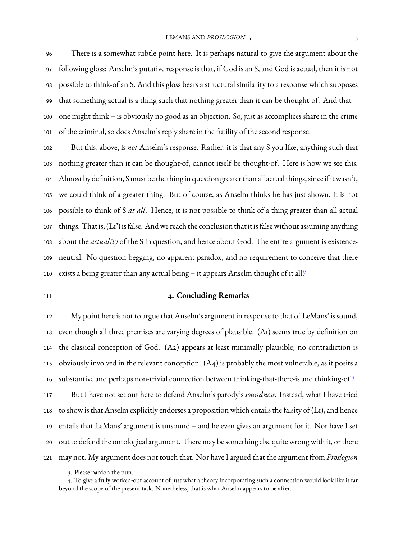There is a somewhat subtle point here. It is perhaps natural to give the argument about the following gloss: Anselm's putative response is that, if God is an S, and God is actual, then it is not possible to think-of an S. And this gloss bears a structural similarity to a response which supposes that something actual is a thing such that nothing greater than it can be thought-of. And that – one might think – is obviously no good as an objection. So, just as accomplices share in the crime of the criminal, so does Anselm's reply share in the futility of the second response.

 But this, above, is *not* Anselm's response. Rather, it is that any S you like, anything such that nothing greater than it can be thought-of, cannot itself be thought-of. Here is how we see this. Almost by definition, S must be the thing in question greater than all actual things, since if itwasn't, we could think-of a greater thing. But of course, as Anselm thinks he has just shown, it is not possible to think-of S *at all*. Hence, it is not possible to think-of a thing greater than all actual things. That is, (L1') is false. And we reach the conclusion that it is false without assuming anything about the *actuality* of the S in question, and hence about God. The entire argument is existence- neutral. No question-begging, no apparent paradox, and no requirement to conceive that there exists a being greater than any actual being - it appears Anselm thought of it all!<sup>[3](#page-4-0)</sup> 

## **4. Concluding Remarks**

 My point here is not to argue that Anselm's argument in response to that of LeMans' is sound, even though all three premises are varying degrees of plausible. (A1) seems true by definition on the classical conception of God. (A2) appears at least minimally plausible; no contradiction is obviously involved in the relevant conception. (A4) is probably the most vulnerable, as it posits a substantive and perhaps non-trivial connection between thinking-that-there-is and thinking-of.<sup>[4](#page-4-1)</sup> But I have not set out here to defend Anselm's parody's *soundness*. Instead, what I have tried to show is that Anselm explicitly endorses a proposition which entails the falsity of (L1), and hence entails that LeMans' argument is unsound – and he even gives an argument for it. Nor have I set out to defend the ontological argument. There may be something else quite wrong with it, or there may not. My argument does not touch that. Nor have I argued that the argument from *Proslogion*

<span id="page-4-1"></span><span id="page-4-0"></span><sup>3.</sup> Please pardon the pun.

<sup>4.</sup> To give a fully worked-out account of just what a theory incorporating such a connection would look like is far beyond the scope of the present task. Nonetheless, that is what Anselm appears to be after.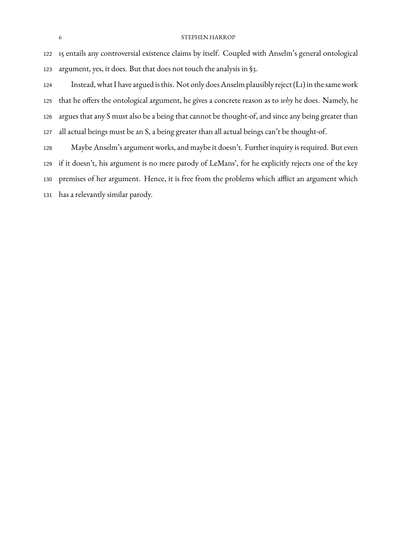#### STEPHEN HARROP

 15 entails any controversial existence claims by itself. Coupled with Anselm's general ontological argument, yes, it does. But that does not touch the analysis in §3.

 Instead, what I have argued is this. Not only does Anselm plausibly reject (L1) in the same work that he offers the ontological argument, he gives a concrete reason as to *why* he does. Namely, he argues that any S must also be a being that cannot be thought-of, and since any being greater than all actual beings must be an S, a being greater than all actual beings can't be thought-of.

 Maybe Anselm's argument works, and maybe it doesn't. Further inquiry is required. But even if it doesn't, his argument is no mere parody of LeMans', for he explicitly rejects one of the key premises of her argument. Hence, it is free from the problems which afflict an argument which has a relevantly similar parody.